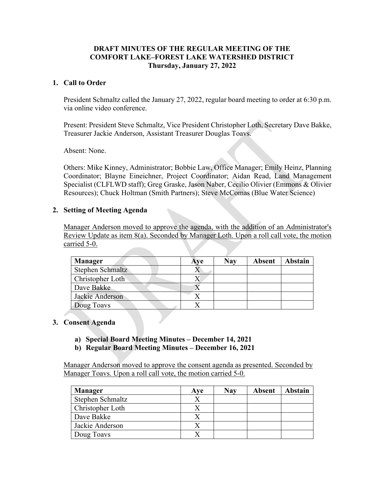### **DRAFT MINUTES OF THE REGULAR MEETING OF THE COMFORT LAKE–FOREST LAKE WATERSHED DISTRICT Thursday, January 27, 2022**

### **1. Call to Order**

President Schmaltz called the January 27, 2022, regular board meeting to order at 6:30 p.m. via online video conference.

Present: President Steve Schmaltz, Vice President Christopher Loth, Secretary Dave Bakke, Treasurer Jackie Anderson, Assistant Treasurer Douglas Toavs.

Absent: None.

Others: Mike Kinney, Administrator; Bobbie Law, Office Manager; Emily Heinz, Planning Coordinator; Blayne Eineichner, Project Coordinator; Aidan Read, Land Management Specialist (CLFLWD staff); Greg Graske, Jason Naber, Cecilio Olivier (Emmons & Olivier Resources); Chuck Holtman (Smith Partners); Steve McComas (Blue Water Science)

#### **2. Setting of Meeting Agenda**

Manager Anderson moved to approve the agenda, with the addition of an Administrator's Review Update as item 8(a). Seconded by Manager Loth. Upon a roll call vote, the motion carried 5-0.

| <b>Manager</b>   | Ave | Nay | Absent | <b>Abstain</b> |
|------------------|-----|-----|--------|----------------|
| Stephen Schmaltz |     |     |        |                |
| Christopher Loth |     |     |        |                |
| Dave Bakke       |     |     |        |                |
| Jackie Anderson  |     |     |        |                |
| Doug Toavs       |     |     |        |                |

# **3. Consent Agenda**

- **a) Special Board Meeting Minutes – December 14, 2021**
- **b) Regular Board Meeting Minutes – December 16, 2021**

Manager Anderson moved to approve the consent agenda as presented. Seconded by Manager Toavs. Upon a roll call vote, the motion carried 5-0.

| <b>Manager</b>   | Ave | <b>Nay</b> | <b>Absent</b> | Abstain |
|------------------|-----|------------|---------------|---------|
| Stephen Schmaltz |     |            |               |         |
| Christopher Loth |     |            |               |         |
| Dave Bakke       |     |            |               |         |
| Jackie Anderson  |     |            |               |         |
| Doug Toavs       |     |            |               |         |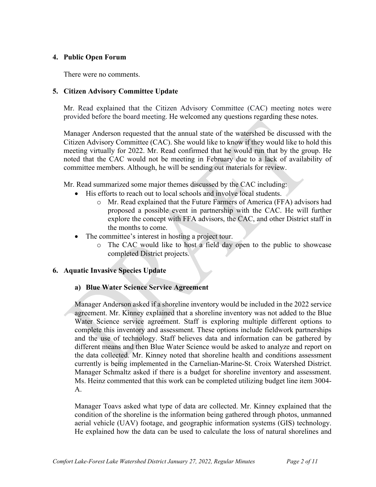### **4. Public Open Forum**

There were no comments.

### **5. Citizen Advisory Committee Update**

Mr. Read explained that the Citizen Advisory Committee (CAC) meeting notes were provided before the board meeting. He welcomed any questions regarding these notes.

Manager Anderson requested that the annual state of the watershed be discussed with the Citizen Advisory Committee (CAC). She would like to know if they would like to hold this meeting virtually for 2022. Mr. Read confirmed that he would run that by the group. He noted that the CAC would not be meeting in February due to a lack of availability of committee members. Although, he will be sending out materials for review.

Mr. Read summarized some major themes discussed by the CAC including:

- His efforts to reach out to local schools and involve local students.
	- o Mr. Read explained that the Future Farmers of America (FFA) advisors had proposed a possible event in partnership with the CAC. He will further explore the concept with FFA advisors, the CAC, and other District staff in the months to come.
- The committee's interest in hosting a project tour.
	- o The CAC would like to host a field day open to the public to showcase completed District projects.

#### **6. Aquatic Invasive Species Update**

#### **a) Blue Water Science Service Agreement**

Manager Anderson asked if a shoreline inventory would be included in the 2022 service agreement. Mr. Kinney explained that a shoreline inventory was not added to the Blue Water Science service agreement. Staff is exploring multiple different options to complete this inventory and assessment. These options include fieldwork partnerships and the use of technology. Staff believes data and information can be gathered by different means and then Blue Water Science would be asked to analyze and report on the data collected. Mr. Kinney noted that shoreline health and conditions assessment currently is being implemented in the Carnelian-Marine-St. Croix Watershed District. Manager Schmaltz asked if there is a budget for shoreline inventory and assessment. Ms. Heinz commented that this work can be completed utilizing budget line item 3004- A.

Manager Toavs asked what type of data are collected. Mr. Kinney explained that the condition of the shoreline is the information being gathered through photos, unmanned aerial vehicle (UAV) footage, and geographic information systems (GIS) technology. He explained how the data can be used to calculate the loss of natural shorelines and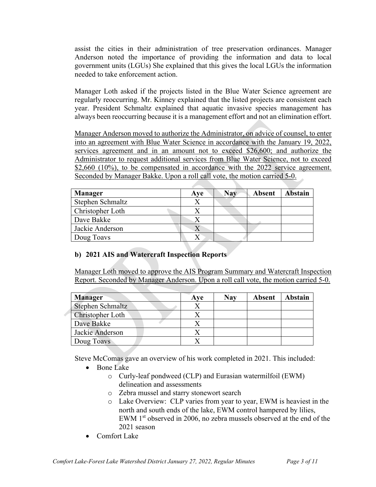assist the cities in their administration of tree preservation ordinances. Manager Anderson noted the importance of providing the information and data to local government units (LGUs) She explained that this gives the local LGUs the information needed to take enforcement action.

Manager Loth asked if the projects listed in the Blue Water Science agreement are regularly reoccurring. Mr. Kinney explained that the listed projects are consistent each year. President Schmaltz explained that aquatic invasive species management has always been reoccurring because it is a management effort and not an elimination effort.

Manager Anderson moved to authorize the Administrator, on advice of counsel, to enter into an agreement with Blue Water Science in accordance with the January 19, 2022, services agreement and in an amount not to exceed \$26,600; and authorize the Administrator to request additional services from Blue Water Science, not to exceed \$2,660 (10%), to be compensated in accordance with the 2022 service agreement. Seconded by Manager Bakke. Upon a roll call vote, the motion carried 5-0.

| <b>Manager</b>   | Ave | <b>Nay</b> | <b>Absent</b> | Abstain |
|------------------|-----|------------|---------------|---------|
| Stephen Schmaltz |     |            |               |         |
| Christopher Loth |     |            |               |         |
| Dave Bakke       |     |            |               |         |
| Jackie Anderson  |     |            |               |         |
| Doug Toavs       |     |            |               |         |

# **b) 2021 AIS and Watercraft Inspection Reports**

Manager Loth moved to approve the AIS Program Summary and Watercraft Inspection Report. Seconded by Manager Anderson. Upon a roll call vote, the motion carried 5-0.

| <b>Manager</b>   | Ave | <b>Nay</b> | <b>Absent</b> | <b>Abstain</b> |
|------------------|-----|------------|---------------|----------------|
| Stephen Schmaltz |     |            |               |                |
| Christopher Loth |     |            |               |                |
| Dave Bakke       |     |            |               |                |
| Jackie Anderson  |     |            |               |                |
| Doug Toavs       |     |            |               |                |

Steve McComas gave an overview of his work completed in 2021. This included:

- Bone Lake
	- o Curly-leaf pondweed (CLP) and Eurasian watermilfoil (EWM) delineation and assessments
	- o Zebra mussel and starry stonewort search
	- o Lake Overview: CLP varies from year to year, EWM is heaviest in the north and south ends of the lake, EWM control hampered by lilies, EWM 1<sup>st</sup> observed in 2006, no zebra mussels observed at the end of the 2021 season
- Comfort Lake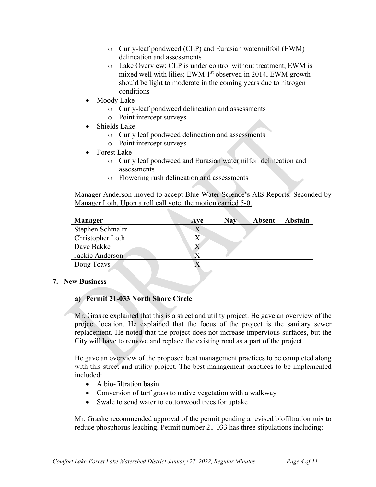- o Curly-leaf pondweed (CLP) and Eurasian watermilfoil (EWM) delineation and assessments
- o Lake Overview: CLP is under control without treatment, EWM is mixed well with lilies; EWM  $1<sup>st</sup>$  observed in 2014, EWM growth should be light to moderate in the coming years due to nitrogen conditions
- Moody Lake
	- o Curly-leaf pondweed delineation and assessments
	- o Point intercept surveys
- Shields Lake
	- o Curly leaf pondweed delineation and assessments
	- o Point intercept surveys
- Forest Lake
	- o Curly leaf pondweed and Eurasian watermilfoil delineation and assessments
	- o Flowering rush delineation and assessments

Manager Anderson moved to accept Blue Water Science's AIS Reports. Seconded by Manager Loth. Upon a roll call vote, the motion carried 5-0.

| <b>Manager</b>   | <b>Aye</b> | <b>Nay</b> | <b>Absent</b> | <b>Abstain</b> |
|------------------|------------|------------|---------------|----------------|
| Stephen Schmaltz |            |            |               |                |
| Christopher Loth |            |            |               |                |
| Dave Bakke       |            |            |               |                |
| Jackie Anderson  |            |            |               |                |
| Doug Toavs       |            |            |               |                |

#### **7. New Business**

# **a) Permit 21-033 North Shore Circle**

Mr. Graske explained that this is a street and utility project. He gave an overview of the project location. He explained that the focus of the project is the sanitary sewer replacement. He noted that the project does not increase impervious surfaces, but the City will have to remove and replace the existing road as a part of the project.

He gave an overview of the proposed best management practices to be completed along with this street and utility project. The best management practices to be implemented included:

- A bio-filtration basin
- Conversion of turf grass to native vegetation with a walkway
- Swale to send water to cottonwood trees for uptake

Mr. Graske recommended approval of the permit pending a revised biofiltration mix to reduce phosphorus leaching. Permit number 21-033 has three stipulations including: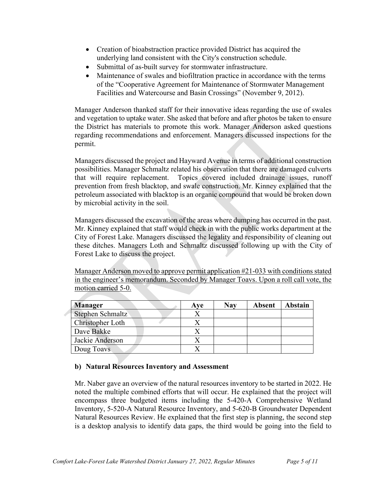- Creation of bioabstraction practice provided District has acquired the underlying land consistent with the City's construction schedule.
- Submittal of as-built survey for stormwater infrastructure.
- Maintenance of swales and biofiltration practice in accordance with the terms of the "Cooperative Agreement for Maintenance of Stormwater Management Facilities and Watercourse and Basin Crossings" (November 9, 2012).

Manager Anderson thanked staff for their innovative ideas regarding the use of swales and vegetation to uptake water. She asked that before and after photos be taken to ensure the District has materials to promote this work. Manager Anderson asked questions regarding recommendations and enforcement. Managers discussed inspections for the permit.

Managers discussed the project and Hayward Avenue in terms of additional construction possibilities. Manager Schmaltz related his observation that there are damaged culverts that will require replacement. Topics covered included drainage issues, runoff prevention from fresh blacktop, and swale construction. Mr. Kinney explained that the petroleum associated with blacktop is an organic compound that would be broken down by microbial activity in the soil.

Managers discussed the excavation of the areas where dumping has occurred in the past. Mr. Kinney explained that staff would check in with the public works department at the City of Forest Lake. Managers discussed the legality and responsibility of cleaning out these ditches. Managers Loth and Schmaltz discussed following up with the City of Forest Lake to discuss the project.

Manager Anderson moved to approve permit application #21-033 with conditions stated in the engineer's memorandum. Seconded by Manager Toavs. Upon a roll call vote, the motion carried 5-0.

| <b>Manager</b>   | Ave | <b>Nay</b> | <b>Absent</b> | <b>Abstain</b> |
|------------------|-----|------------|---------------|----------------|
| Stephen Schmaltz |     |            |               |                |
| Christopher Loth |     |            |               |                |
| Dave Bakke       |     |            |               |                |
| Jackie Anderson  |     |            |               |                |
| Doug Toavs       |     |            |               |                |

# **b) Natural Resources Inventory and Assessment**

Mr. Naber gave an overview of the natural resources inventory to be started in 2022. He noted the multiple combined efforts that will occur. He explained that the project will encompass three budgeted items including the 5-420-A Comprehensive Wetland Inventory, 5-520-A Natural Resource Inventory, and 5-620-B Groundwater Dependent Natural Resources Review. He explained that the first step is planning, the second step is a desktop analysis to identify data gaps, the third would be going into the field to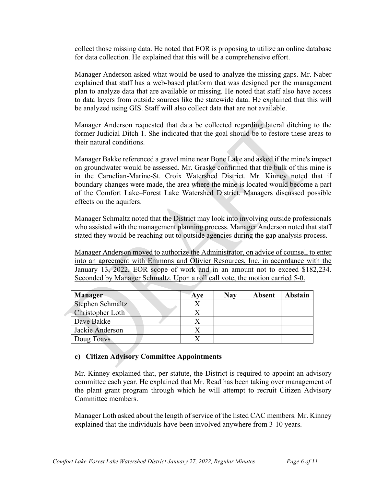collect those missing data. He noted that EOR is proposing to utilize an online database for data collection. He explained that this will be a comprehensive effort.

Manager Anderson asked what would be used to analyze the missing gaps. Mr. Naber explained that staff has a web-based platform that was designed per the management plan to analyze data that are available or missing. He noted that staff also have access to data layers from outside sources like the statewide data. He explained that this will be analyzed using GIS. Staff will also collect data that are not available.

Manager Anderson requested that data be collected regarding lateral ditching to the former Judicial Ditch 1. She indicated that the goal should be to restore these areas to their natural conditions.

Manager Bakke referenced a gravel mine near Bone Lake and asked if the mine's impact on groundwater would be assessed. Mr. Graske confirmed that the bulk of this mine is in the Carnelian-Marine-St. Croix Watershed District. Mr. Kinney noted that if boundary changes were made, the area where the mine is located would become a part of the Comfort Lake–Forest Lake Watershed District. Managers discussed possible effects on the aquifers.

Manager Schmaltz noted that the District may look into involving outside professionals who assisted with the management planning process. Manager Anderson noted that staff stated they would be reaching out to outside agencies during the gap analysis process.

Manager Anderson moved to authorize the Administrator, on advice of counsel, to enter into an agreement with Emmons and Olivier Resources, Inc. in accordance with the January 13, 2022, EOR scope of work and in an amount not to exceed \$182,234. Seconded by Manager Schmaltz. Upon a roll call vote, the motion carried 5-0.

| <b>Manager</b>          | Ave | <b>Nay</b> | <b>Absent</b> | <b>Abstain</b> |
|-------------------------|-----|------------|---------------|----------------|
| <b>Stephen Schmaltz</b> |     |            |               |                |
| Christopher Loth        |     |            |               |                |
| Dave Bakke              |     |            |               |                |
| Jackie Anderson         |     |            |               |                |
| Doug Toavs              |     |            |               |                |

#### **c) Citizen Advisory Committee Appointments**

Mr. Kinney explained that, per statute, the District is required to appoint an advisory committee each year. He explained that Mr. Read has been taking over management of the plant grant program through which he will attempt to recruit Citizen Advisory Committee members.

Manager Loth asked about the length of service of the listed CAC members. Mr. Kinney explained that the individuals have been involved anywhere from 3-10 years.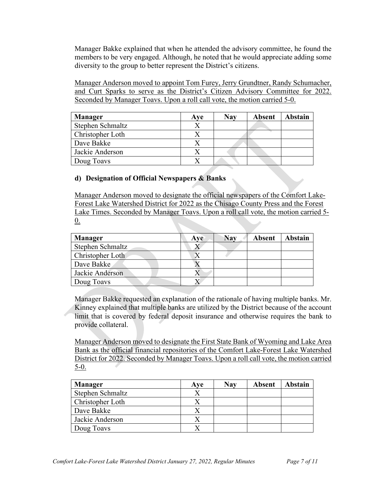Manager Bakke explained that when he attended the advisory committee, he found the members to be very engaged. Although, he noted that he would appreciate adding some diversity to the group to better represent the District's citizens.

Manager Anderson moved to appoint Tom Furey, Jerry Grundtner, Randy Schumacher, and Curt Sparks to serve as the District's Citizen Advisory Committee for 2022. Seconded by Manager Toavs. Upon a roll call vote, the motion carried 5-0.

| <b>Manager</b>   | Ave | <b>Nav</b> | Absent | <b>Abstain</b> |
|------------------|-----|------------|--------|----------------|
| Stephen Schmaltz |     |            |        |                |
| Christopher Loth |     |            |        |                |
| Dave Bakke       |     |            |        |                |
| Jackie Anderson  |     |            |        |                |
| Doug Toavs       |     |            |        |                |

# **d) Designation of Official Newspapers & Banks**

Manager Anderson moved to designate the official newspapers of the Comfort Lake-Forest Lake Watershed District for 2022 as the Chisago County Press and the Forest Lake Times. Seconded by Manager Toavs. Upon a roll call vote, the motion carried 5- 0.

| <b>Manager</b>   | Ave | Nav | <b>Absent</b> | <b>Abstain</b> |
|------------------|-----|-----|---------------|----------------|
| Stephen Schmaltz |     |     |               |                |
| Christopher Loth |     |     |               |                |
| Dave Bakke       |     |     |               |                |
| Jackie Anderson  |     |     |               |                |
| Doug Toavs       |     |     |               |                |

Manager Bakke requested an explanation of the rationale of having multiple banks. Mr. Kinney explained that multiple banks are utilized by the District because of the account limit that is covered by federal deposit insurance and otherwise requires the bank to provide collateral.

Manager Anderson moved to designate the First State Bank of Wyoming and Lake Area Bank as the official financial repositories of the Comfort Lake-Forest Lake Watershed District for 2022. Seconded by Manager Toavs. Upon a roll call vote, the motion carried  $5-0.$ 

| <b>Manager</b>   | Ave | <b>Nay</b> | <b>Absent</b> | Abstain |
|------------------|-----|------------|---------------|---------|
| Stephen Schmaltz |     |            |               |         |
| Christopher Loth |     |            |               |         |
| Dave Bakke       |     |            |               |         |
| Jackie Anderson  |     |            |               |         |
| Doug Toavs       |     |            |               |         |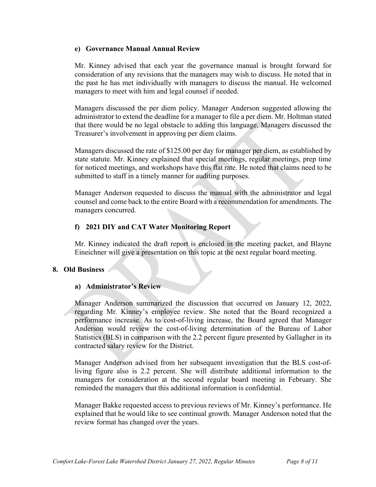#### **e) Governance Manual Annual Review**

Mr. Kinney advised that each year the governance manual is brought forward for consideration of any revisions that the managers may wish to discuss. He noted that in the past he has met individually with managers to discuss the manual. He welcomed managers to meet with him and legal counsel if needed.

Managers discussed the per diem policy. Manager Anderson suggested allowing the administrator to extend the deadline for a manager to file a per diem. Mr. Holtman stated that there would be no legal obstacle to adding this language. Managers discussed the Treasurer's involvement in approving per diem claims.

Managers discussed the rate of \$125.00 per day for manager per diem, as established by state statute. Mr. Kinney explained that special meetings, regular meetings, prep time for noticed meetings, and workshops have this flat rate. He noted that claims need to be submitted to staff in a timely manner for auditing purposes.

Manager Anderson requested to discuss the manual with the administrator and legal counsel and come back to the entire Board with a recommendation for amendments. The managers concurred.

#### **f) 2021 DIY and CAT Water Monitoring Report**

Mr. Kinney indicated the draft report is enclosed in the meeting packet, and Blayne Eineichner will give a presentation on this topic at the next regular board meeting.

#### **8. Old Business**

#### **a) Administrator's Review**

Manager Anderson summarized the discussion that occurred on January 12, 2022, regarding Mr. Kinney's employee review. She noted that the Board recognized a performance increase. As to cost-of-living increase, the Board agreed that Manager Anderson would review the cost-of-living determination of the Bureau of Labor Statistics (BLS) in comparison with the 2.2 percent figure presented by Gallagher in its contracted salary review for the District.

Manager Anderson advised from her subsequent investigation that the BLS cost-ofliving figure also is 2.2 percent. She will distribute additional information to the managers for consideration at the second regular board meeting in February. She reminded the managers that this additional information is confidential.

Manager Bakke requested access to previous reviews of Mr. Kinney's performance. He explained that he would like to see continual growth. Manager Anderson noted that the review format has changed over the years.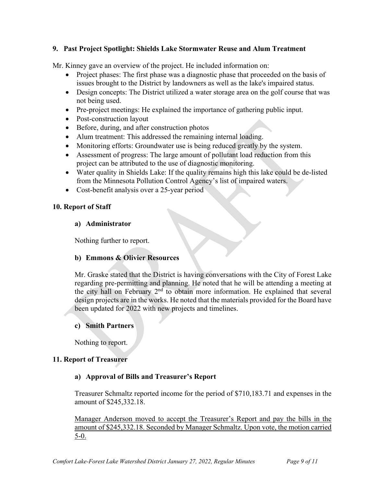### **9. Past Project Spotlight: Shields Lake Stormwater Reuse and Alum Treatment**

Mr. Kinney gave an overview of the project. He included information on:

- Project phases: The first phase was a diagnostic phase that proceeded on the basis of issues brought to the District by landowners as well as the lake's impaired status.
- Design concepts: The District utilized a water storage area on the golf course that was not being used.
- Pre-project meetings: He explained the importance of gathering public input.
- Post-construction layout
- Before, during, and after construction photos
- Alum treatment: This addressed the remaining internal loading.
- Monitoring efforts: Groundwater use is being reduced greatly by the system.
- Assessment of progress: The large amount of pollutant load reduction from this project can be attributed to the use of diagnostic monitoring.
- Water quality in Shields Lake: If the quality remains high this lake could be de-listed from the Minnesota Pollution Control Agency's list of impaired waters.
- Cost-benefit analysis over a 25-year period

#### **10. Report of Staff**

#### **a) Administrator**

Nothing further to report.

#### **b) Emmons & Olivier Resources**

Mr. Graske stated that the District is having conversations with the City of Forest Lake regarding pre-permitting and planning. He noted that he will be attending a meeting at the city hall on February 2nd to obtain more information. He explained that several design projects are in the works. He noted that the materials provided for the Board have been updated for 2022 with new projects and timelines.

#### **c) Smith Partners**

Nothing to report.

#### **11. Report of Treasurer**

#### **a) Approval of Bills and Treasurer's Report**

Treasurer Schmaltz reported income for the period of \$710,183.71 and expenses in the amount of \$245,332.18.

Manager Anderson moved to accept the Treasurer's Report and pay the bills in the amount of \$245,332.18. Seconded by Manager Schmaltz. Upon vote, the motion carried 5-0.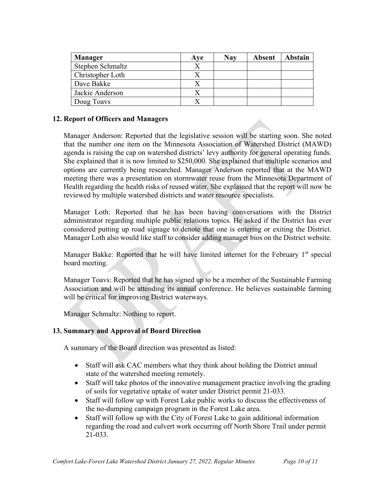| <b>Manager</b>   | Ave | <b>Nay</b> | <b>Absent</b> | <b>Abstain</b> |
|------------------|-----|------------|---------------|----------------|
| Stephen Schmaltz |     |            |               |                |
| Christopher Loth |     |            |               |                |
| Dave Bakke       |     |            |               |                |
| Jackie Anderson  |     |            |               |                |
| Doug Toavs       |     |            |               |                |

### **12. Report of Officers and Managers**

Manager Anderson: Reported that the legislative session will be starting soon. She noted that the number one item on the Minnesota Association of Watershed District (MAWD) agenda is raising the cap on watershed districts' levy authority for general operating funds. She explained that it is now limited to \$250,000. She explained that multiple scenarios and options are currently being researched. Manager Anderson reported that at the MAWD meeting there was a presentation on stormwater reuse from the Minnesota Department of Health regarding the health risks of reused water. She explained that the report will now be reviewed by multiple watershed districts and water resource specialists.

Manager Loth: Reported that he has been having conversations with the District administrator regarding multiple public relations topics. He asked if the District has ever considered putting up road signage to denote that one is entering or exiting the District. Manager Loth also would like staff to consider adding manager bios on the District website.

Manager Bakke: Reported that he will have limited internet for the February  $1<sup>st</sup>$  special board meeting.

Manager Toavs: Reported that he has signed up to be a member of the Sustainable Farming Association and will be attending its annual conference. He believes sustainable farming will be critical for improving District waterways.

Manager Schmaltz: Nothing to report.

#### **13. Summary and Approval of Board Direction**

A summary of the Board direction was presented as listed:

- Staff will ask CAC members what they think about holding the District annual state of the watershed meeting remotely.
- Staff will take photos of the innovative management practice involving the grading of soils for vegetative uptake of water under District permit 21-033.
- Staff will follow up with Forest Lake public works to discuss the effectiveness of the no-dumping campaign program in the Forest Lake area.
- Staff will follow up with the City of Forest Lake to gain additional information regarding the road and culvert work occurring off North Shore Trail under permit 21-033.